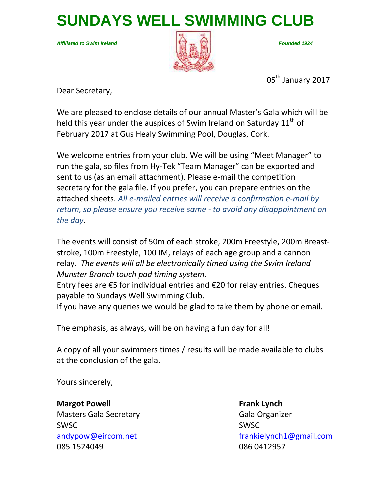**SUNDAYS WELL SWIMMING CLUB**

*Affiliated to Swim Ireland Founded 1924*



05<sup>th</sup> January 2017

Dear Secretary,

We are pleased to enclose details of our annual Master's Gala which will be held this year under the auspices of Swim Ireland on Saturday  $11<sup>th</sup>$  of February 2017 at Gus Healy Swimming Pool, Douglas, Cork.

We welcome entries from your club. We will be using "Meet Manager" to run the gala, so files from Hy-Tek "Team Manager" can be exported and sent to us (as an email attachment). Please e-mail the competition secretary for the gala file. If you prefer, you can prepare entries on the attached sheets. *All e-mailed entries will receive a confirmation e-mail by return, so please ensure you receive same - to avoid any disappointment on the day.*

The events will consist of 50m of each stroke, 200m Freestyle, 200m Breaststroke, 100m Freestyle, 100 IM, relays of each age group and a cannon relay. *The events will all be electronically timed using the Swim Ireland Munster Branch touch pad timing system.*

Entry fees are €5 for individual entries and €20 for relay entries. Cheques payable to Sundays Well Swimming Club.

If you have any queries we would be glad to take them by phone or email.

The emphasis, as always, will be on having a fun day for all!

A copy of all your swimmers times / results will be made available to clubs at the conclusion of the gala.

\_\_\_\_\_\_\_\_\_\_\_\_\_\_\_\_ \_\_\_\_\_\_\_\_\_\_\_\_\_\_\_\_

Yours sincerely,

**Margot Powell Frank Lynch** Masters Gala Secretary **Gala Organizer** Gala Organizer SWSC SWSC 085 1524049 086 0412957

[andypow@eircom.net](mailto:andypow@eircom.net) [frankielynch1@gmail.com](mailto:frankielynch1@gmail.com)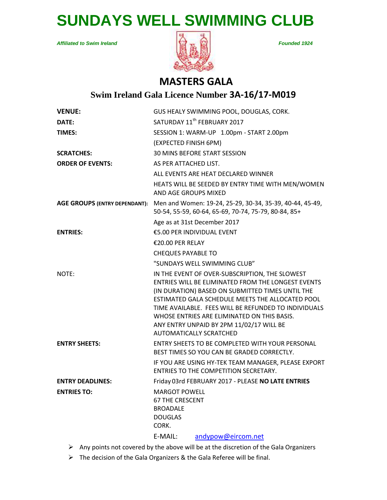# **SUNDAYS WELL SWIMMING CLUB**

*Affiliated to Swim Ireland Founded 1924*



## **MASTERS GALA**

## **Swim Ireland Gala Licence Number 3A-16/17-M019**

| <b>VENUE:</b>                        |                                                                                                                               | GUS HEALY SWIMMING POOL, DOUGLAS, CORK.                                                                                                                                                                                                                                                                                                                                                           |  |  |
|--------------------------------------|-------------------------------------------------------------------------------------------------------------------------------|---------------------------------------------------------------------------------------------------------------------------------------------------------------------------------------------------------------------------------------------------------------------------------------------------------------------------------------------------------------------------------------------------|--|--|
| DATE:                                |                                                                                                                               | SATURDAY 11 <sup>th</sup> FEBRUARY 2017                                                                                                                                                                                                                                                                                                                                                           |  |  |
| <b>TIMES:</b>                        |                                                                                                                               | SESSION 1: WARM-UP 1.00pm - START 2.00pm                                                                                                                                                                                                                                                                                                                                                          |  |  |
|                                      | (EXPECTED FINISH 6PM)                                                                                                         |                                                                                                                                                                                                                                                                                                                                                                                                   |  |  |
| <b>SCRATCHES:</b>                    | 30 MINS BEFORE START SESSION                                                                                                  |                                                                                                                                                                                                                                                                                                                                                                                                   |  |  |
| <b>ORDER OF EVENTS:</b>              | AS PER ATTACHED LIST.                                                                                                         |                                                                                                                                                                                                                                                                                                                                                                                                   |  |  |
|                                      |                                                                                                                               | ALL EVENTS ARE HEAT DECLARED WINNER                                                                                                                                                                                                                                                                                                                                                               |  |  |
|                                      | <b>AND AGE GROUPS MIXED</b>                                                                                                   | HEATS WILL BE SEEDED BY ENTRY TIME WITH MEN/WOMEN                                                                                                                                                                                                                                                                                                                                                 |  |  |
| <b>AGE GROUPS (ENTRY DEPENDANT):</b> | Men and Women: 19-24, 25-29, 30-34, 35-39, 40-44, 45-49,<br>50-54, 55-59, 60-64, 65-69, 70-74, 75-79, 80-84, 85+              |                                                                                                                                                                                                                                                                                                                                                                                                   |  |  |
|                                      | Age as at 31st December 2017                                                                                                  |                                                                                                                                                                                                                                                                                                                                                                                                   |  |  |
| <b>ENTRIES:</b>                      | €5.00 PER INDIVIDUAL EVENT                                                                                                    |                                                                                                                                                                                                                                                                                                                                                                                                   |  |  |
|                                      | €20.00 PER RELAY                                                                                                              |                                                                                                                                                                                                                                                                                                                                                                                                   |  |  |
|                                      | <b>CHEQUES PAYABLE TO</b>                                                                                                     |                                                                                                                                                                                                                                                                                                                                                                                                   |  |  |
|                                      |                                                                                                                               | "SUNDAYS WELL SWIMMING CLUB"                                                                                                                                                                                                                                                                                                                                                                      |  |  |
| NOTE:                                |                                                                                                                               | IN THE EVENT OF OVER-SUBSCRIPTION, THE SLOWEST<br>ENTRIES WILL BE ELIMINATED FROM THE LONGEST EVENTS<br>(IN DURATION) BASED ON SUBMITTED TIMES UNTIL THE<br>ESTIMATED GALA SCHEDULE MEETS THE ALLOCATED POOL<br>TIME AVAILABLE. FEES WILL BE REFUNDED TO INDIVIDUALS<br>WHOSE ENTRIES ARE ELIMINATED ON THIS BASIS.<br>ANY ENTRY UNPAID BY 2PM 11/02/17 WILL BE<br><b>AUTOMATICALLY SCRATCHED</b> |  |  |
| <b>ENTRY SHEETS:</b>                 | ENTRY SHEETS TO BE COMPLETED WITH YOUR PERSONAL<br>BEST TIMES SO YOU CAN BE GRADED CORRECTLY.                                 |                                                                                                                                                                                                                                                                                                                                                                                                   |  |  |
|                                      |                                                                                                                               | IF YOU ARE USING HY-TEK TEAM MANAGER, PLEASE EXPORT<br>ENTRIES TO THE COMPETITION SECRETARY.                                                                                                                                                                                                                                                                                                      |  |  |
| <b>ENTRY DEADLINES:</b>              |                                                                                                                               | Friday 03rd FEBRUARY 2017 - PLEASE NO LATE ENTRIES                                                                                                                                                                                                                                                                                                                                                |  |  |
| <b>ENTRIES TO:</b>                   | <b>MARGOT POWELL</b><br><b>67 THE CRESCENT</b><br><b>BROADALE</b><br><b>DOUGLAS</b><br>CORK.<br>andypow@eircom.net<br>E-MAIL: |                                                                                                                                                                                                                                                                                                                                                                                                   |  |  |
|                                      |                                                                                                                               |                                                                                                                                                                                                                                                                                                                                                                                                   |  |  |

 $\triangleright$  Any points not covered by the above will be at the discretion of the Gala Organizers

The decision of the Gala Organizers & the Gala Referee will be final.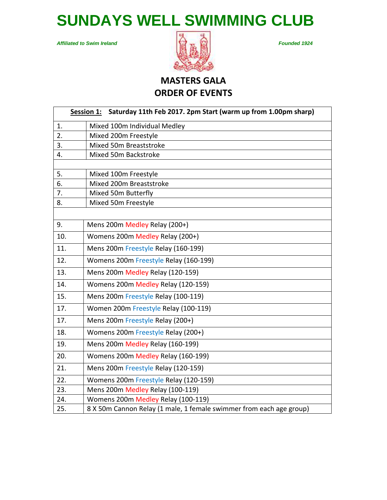**SUNDAYS WELL SWIMMING CLUB**

*Affiliated to Swim Ireland Founded 1924*



# **MASTERS GALA ORDER OF EVENTS**

|     | Session 1: Saturday 11th Feb 2017. 2pm Start (warm up from 1.00pm sharp) |
|-----|--------------------------------------------------------------------------|
| 1.  | Mixed 100m Individual Medley                                             |
| 2.  | Mixed 200m Freestyle                                                     |
| 3.  | Mixed 50m Breaststroke                                                   |
| 4.  | Mixed 50m Backstroke                                                     |
|     |                                                                          |
| 5.  | Mixed 100m Freestyle                                                     |
| 6.  | Mixed 200m Breaststroke                                                  |
| 7.  | Mixed 50m Butterfly                                                      |
| 8.  | Mixed 50m Freestyle                                                      |
|     |                                                                          |
| 9.  | Mens 200m Medley Relay (200+)                                            |
| 10. | Womens 200m Medley Relay (200+)                                          |
| 11. | Mens 200m Freestyle Relay (160-199)                                      |
| 12. | Womens 200m Freestyle Relay (160-199)                                    |
| 13. | Mens 200m Medley Relay (120-159)                                         |
| 14. | Womens 200m Medley Relay (120-159)                                       |
| 15. | Mens 200m Freestyle Relay (100-119)                                      |
| 17. | Women 200m Freestyle Relay (100-119)                                     |
| 17. | Mens 200m Freestyle Relay (200+)                                         |
| 18. | Womens 200m Freestyle Relay (200+)                                       |
| 19. | Mens 200m Medley Relay (160-199)                                         |
| 20. | Womens 200m Medley Relay (160-199)                                       |
| 21. | Mens 200m Freestyle Relay (120-159)                                      |
| 22. | Womens 200m Freestyle Relay (120-159)                                    |
| 23. | Mens 200m Medley Relay (100-119)                                         |
| 24. | Womens 200m Medley Relay (100-119)                                       |
| 25. | 8 X 50m Cannon Relay (1 male, 1 female swimmer from each age group)      |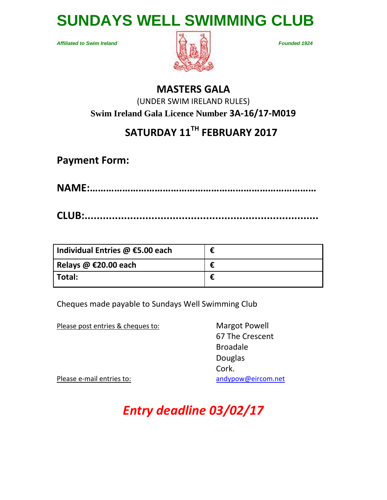

*Affiliated to Swim Ireland Founded 1924*



## **MASTERS GALA**

(UNDER SWIM IRELAND RULES)  **Swim Ireland Gala Licence Number 3A-16/17-M019**

# **SATURDAY 11 TH FEBRUARY 2017**

**Payment Form:**

**NAME:…………………………………………………………………………**

**CLUB:.............................................................................**

| Individual Entries $\omega$ €5.00 each | € |
|----------------------------------------|---|
| Relays @ €20.00 each                   | € |
| Total:                                 |   |

Cheques made payable to Sundays Well Swimming Club

Please post entries & cheques to: Margot Powell

67 The Crescent Broadale Douglas Cork.

Please e-mail entries to: [andypow@eircom.net](mailto:andypow@eircom.net)

*Entry deadline 03/02/17*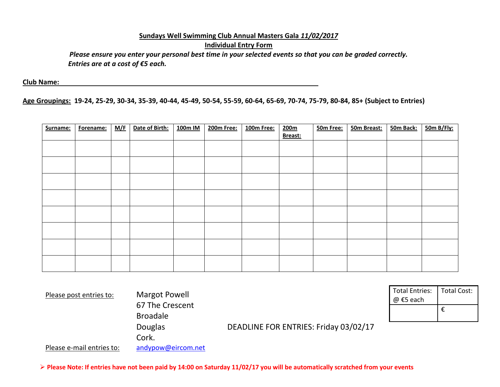### **Sundays Well Swimming Club Annual Masters Gala** *11/02/2017* **Individual Entry Form**

*Please ensure you enter your personal best time in your selected events so that you can be graded correctly. Entries are at a cost of €5 each.*

**Club Name:** 

**Age Groupings: 19-24, 25-29, 30-34, 35-39, 40-44, 45-49, 50-54, 55-59, 60-64, 65-69, 70-74, 75-79, 80-84, 85+ (Subject to Entries)**

| Surname: | Forename: | <u>M/F</u> | Date of Birth: | 100m IM | 200m Free: | 100m Free: | 200 <sub>m</sub><br>Breast: | 50m Free: | 50m Breast: | 50m Back: | 50m B/Fly: |
|----------|-----------|------------|----------------|---------|------------|------------|-----------------------------|-----------|-------------|-----------|------------|
|          |           |            |                |         |            |            |                             |           |             |           |            |
|          |           |            |                |         |            |            |                             |           |             |           |            |
|          |           |            |                |         |            |            |                             |           |             |           |            |
|          |           |            |                |         |            |            |                             |           |             |           |            |
|          |           |            |                |         |            |            |                             |           |             |           |            |
|          |           |            |                |         |            |            |                             |           |             |           |            |
|          |           |            |                |         |            |            |                             |           |             |           |            |
|          |           |            |                |         |            |            |                             |           |             |           |            |

| Please post entries to:   | <b>Margot Powell</b><br>67 The Crescent |                                       |  |
|---------------------------|-----------------------------------------|---------------------------------------|--|
|                           | <b>Broadale</b>                         |                                       |  |
|                           | <b>Douglas</b>                          | DEADLINE FOR ENTRIES: Friday 03/02/17 |  |
|                           | Cork.                                   |                                       |  |
| Please e-mail entries to: | andypow@eircom.net                      |                                       |  |

Total Entries: @ €5 each Total Cost: €

**Please Note: If entries have not been paid by 14:00 on Saturday 11/02/17 you will be automatically scratched from your events**